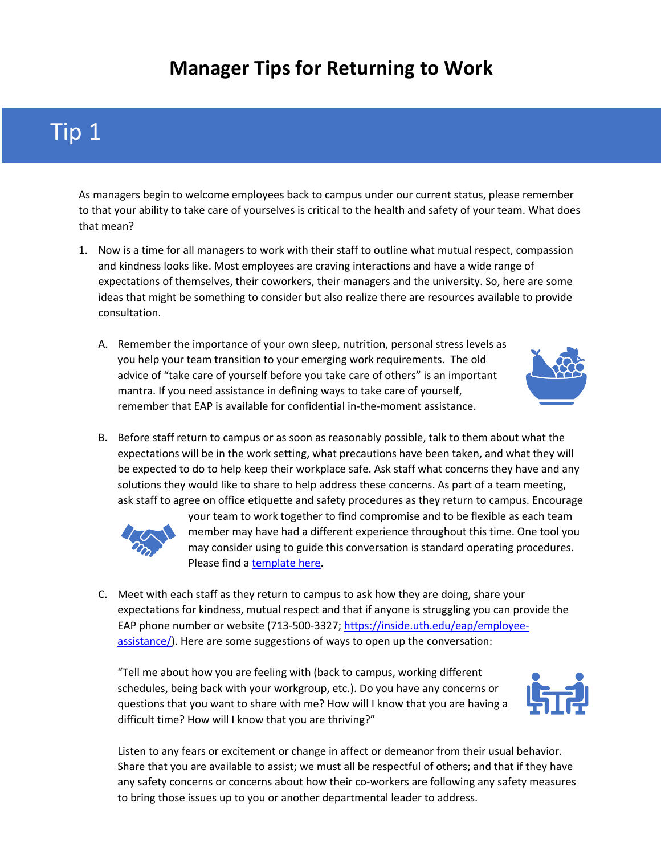#### **Manager Tips for Returning to Work**

### Tip 1

As managers begin to welcome employees back to campus under our current status, please remember to that your ability to take care of yourselves is critical to the health and safety of your team. What does that mean?

- 1. Now is a time for all managers to work with their staff to outline what mutual respect, compassion and kindness looks like. Most employees are craving interactions and have a wide range of expectations of themselves, their coworkers, their managers and the university. So, here are some ideas that might be something to consider but also realize there are resources available to provide consultation.
	- A. Remember the importance of your own sleep, nutrition, personal stress levels as you help your team transition to your emerging work requirements. The old advice of "take care of yourself before you take care of others" is an important mantra. If you need assistance in defining ways to take care of yourself, remember that EAP is available for confidential in-the-moment assistance.



B. Before staff return to campus or as soon as reasonably possible, talk to them about what the expectations will be in the work setting, what precautions have been taken, and what they will be expected to do to help keep their workplace safe. Ask staff what concerns they have and any solutions they would like to share to help address these concerns. As part of a team meeting, ask staff to agree on office etiquette and safety procedures as they return to campus. Encourage



your team to work together to find compromise and to be flexible as each team member may have had a different experience throughout this time. One tool you may consider using to guide this conversation is standard operating procedures. Please find a [template here](https://www.uth.edu/hr/documents/employee-relations/manager-resources/TeamSOPTemplate.pdf).

C. Meet with each staff as they return to campus to ask how they are doing, share your expectations for kindness, mutual respect and that if anyone is struggling you can provide the EAP phone number or website (713-500-3327; https://inside.uth.edu/eap/employeeassistance/). Here are some suggestions of ways to open up the conversation:

"Tell me about how you are feeling with (back to campus, working different schedules, being back with your workgroup, etc.). Do you have any concerns or questions that you want to share with me? How will I know that you are having a difficult time? How will I know that you are thriving?"



Listen to any fears or excitement or change in affect or demeanor from their usual behavior. Share that you are available to assist; we must all be respectful of others; and that if they have any safety concerns or concerns about how their co-workers are following any safety measures to bring those issues up to you or another departmental leader to address.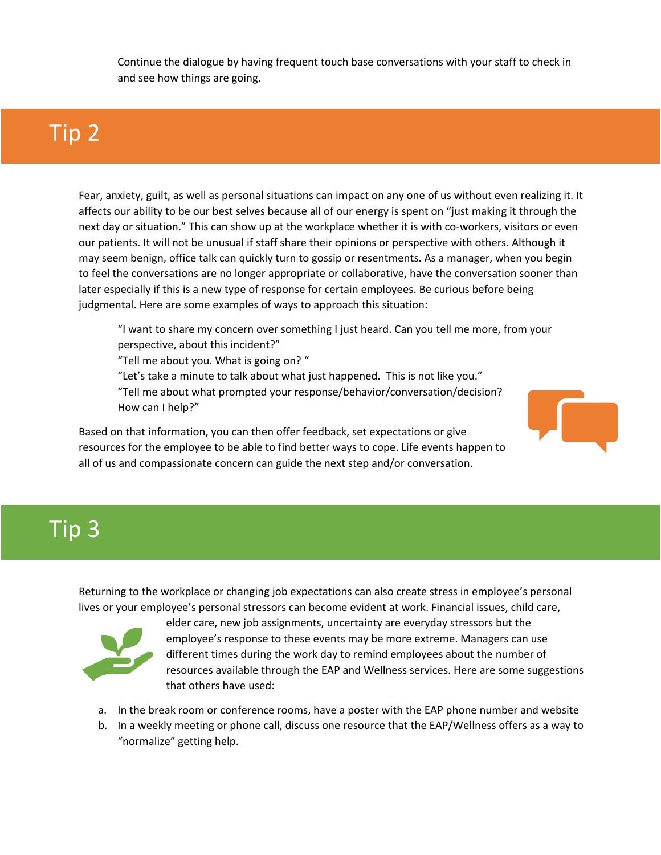Continue the dialogue by having frequent touch base conversations with your staff to check in and see how things are going.

### Tip 2

Fear, anxiety, guilt, as well as personal situations can impact on any one of us without even realizing it. It affects our ability to be our best selves because all of our energy is spent on "just making it through the next day or situation." This can show up at the workplace whether it is with co-workers, visitors or even our patients. It will not be unusual if staff share their opinions or perspective with others. Although it may seem benign, office talk can quickly turn to gossip or resentments. As a manager, when you begin to feel the conversations are no longer appropriate or collaborative, have the conversation sooner than later especially if this is a new type of response for certain employees. Be curious before being judgmental. Here are some examples of ways to approach this situation:

"I want to share my concern over something I just heard. Can you tell me more, from your perspective, about this incident?"

"Tell me about you. What is going on? "

"Let's take a minute to talk about what just happened. This is not like you." "Tell me about what prompted your response/behavior/conversation/decision? How can I help?"

Based on that information, you can then offer feedback, set expectations or give resources for the employee to be able to find better ways to cope. Life events happen to all of us and compassionate concern can guide the next step and/or conversation.

### Tip 3

Returning to the workplace or changing job expectations can also create stress in employee's personal lives or your employee's personal stressors can become evident at work. Financial issues, child care,



elder care, new job assignments, uncertainty are everyday stressors but the employee's response to these events may be more extreme. Managers can use different times during the work day to remind employees about the number of resources available through the EAP and Wellness services. Here are some suggestions that others have used:

- a. In the break room or conference rooms, have a poster with the EAP phone number and website
- b. In a weekly meeting or phone call, discuss one resource that the EAP/Wellness offers as a way to "normalize" getting help.